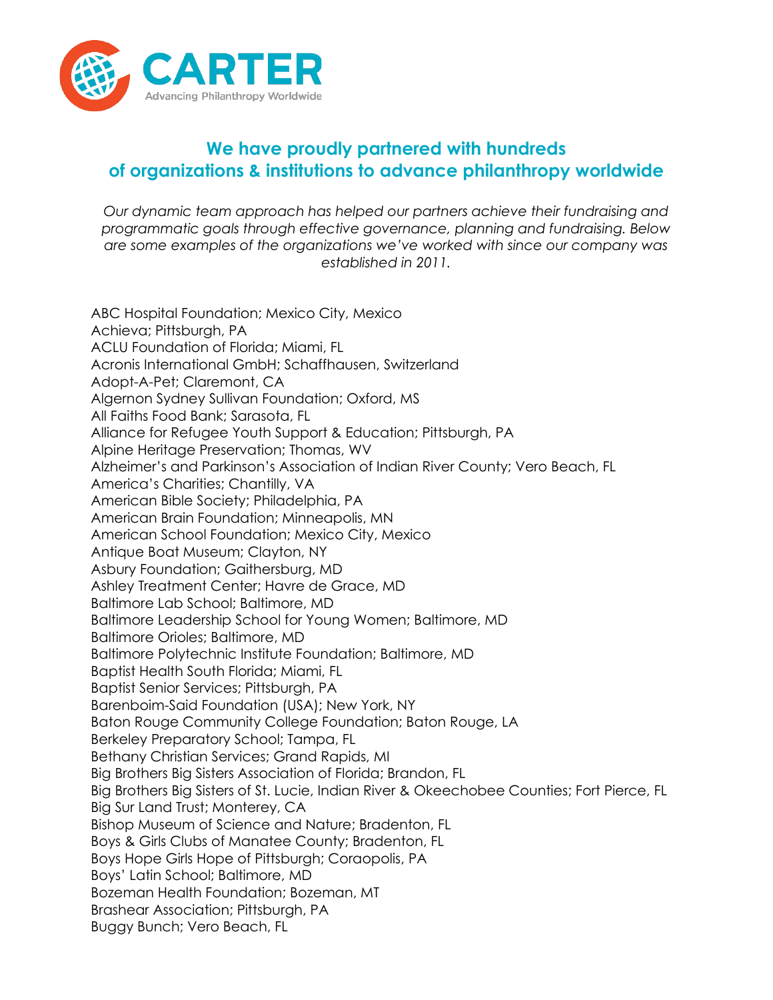

## **We have proudly partnered with hundreds of organizations & institutions to advance philanthropy worldwide**

*Our dynamic team approach has helped our partners achieve their fundraising and programmatic goals through effective governance, planning and fundraising. Below are some examples of the organizations we've worked with since our company was established in 2011.*

ABC Hospital Foundation; Mexico City, Mexico Achieva; Pittsburgh, PA ACLU Foundation of Florida; Miami, FL Acronis International GmbH; Schaffhausen, Switzerland Adopt-A-Pet; Claremont, CA Algernon Sydney Sullivan Foundation; Oxford, MS All Faiths Food Bank; Sarasota, FL Alliance for Refugee Youth Support & Education; Pittsburgh, PA Alpine Heritage Preservation; Thomas, WV Alzheimer's and Parkinson's Association of Indian River County; Vero Beach, FL America's Charities; Chantilly, VA American Bible Society; Philadelphia, PA American Brain Foundation; Minneapolis, MN American School Foundation; Mexico City, Mexico Antique Boat Museum; Clayton, NY Asbury Foundation; Gaithersburg, MD Ashley Treatment Center; Havre de Grace, MD Baltimore Lab School; Baltimore, MD Baltimore Leadership School for Young Women; Baltimore, MD Baltimore Orioles; Baltimore, MD Baltimore Polytechnic Institute Foundation; Baltimore, MD Baptist Health South Florida; Miami, FL Baptist Senior Services; Pittsburgh, PA Barenboim-Said Foundation (USA); New York, NY Baton Rouge Community College Foundation; Baton Rouge, LA Berkeley Preparatory School; Tampa, FL Bethany Christian Services; Grand Rapids, MI Big Brothers Big Sisters Association of Florida; Brandon, FL Big Brothers Big Sisters of St. Lucie, Indian River & Okeechobee Counties; Fort Pierce, FL Big Sur Land Trust; Monterey, CA Bishop Museum of Science and Nature; Bradenton, FL Boys & Girls Clubs of Manatee County; Bradenton, FL Boys Hope Girls Hope of Pittsburgh; Coraopolis, PA Boys' Latin School; Baltimore, MD Bozeman Health Foundation; Bozeman, MT Brashear Association; Pittsburgh, PA Buggy Bunch; Vero Beach, FL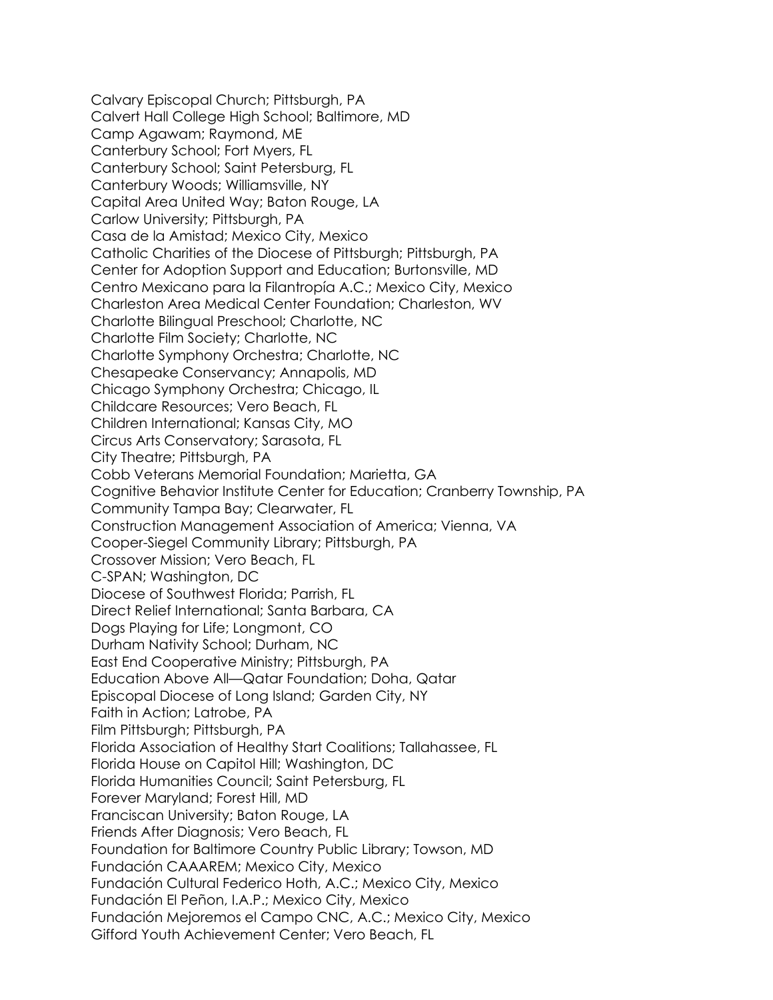Calvary Episcopal Church; Pittsburgh, PA Calvert Hall College High School; Baltimore, MD Camp Agawam; Raymond, ME Canterbury School; Fort Myers, FL Canterbury School; Saint Petersburg, FL Canterbury Woods; Williamsville, NY Capital Area United Way; Baton Rouge, LA Carlow University; Pittsburgh, PA Casa de la Amistad; Mexico City, Mexico Catholic Charities of the Diocese of Pittsburgh; Pittsburgh, PA Center for Adoption Support and Education; Burtonsville, MD Centro Mexicano para la Filantropía A.C.; Mexico City, Mexico Charleston Area Medical Center Foundation; Charleston, WV Charlotte Bilingual Preschool; Charlotte, NC Charlotte Film Society; Charlotte, NC Charlotte Symphony Orchestra; Charlotte, NC Chesapeake Conservancy; Annapolis, MD Chicago Symphony Orchestra; Chicago, IL Childcare Resources; Vero Beach, FL Children International; Kansas City, MO Circus Arts Conservatory; Sarasota, FL City Theatre; Pittsburgh, PA Cobb Veterans Memorial Foundation; Marietta, GA Cognitive Behavior Institute Center for Education; Cranberry Township, PA Community Tampa Bay; Clearwater, FL Construction Management Association of America; Vienna, VA Cooper-Siegel Community Library; Pittsburgh, PA Crossover Mission; Vero Beach, FL C-SPAN; Washington, DC Diocese of Southwest Florida; Parrish, FL Direct Relief International; Santa Barbara, CA Dogs Playing for Life; Longmont, CO Durham Nativity School; Durham, NC East End Cooperative Ministry; Pittsburgh, PA Education Above All—Qatar Foundation; Doha, Qatar Episcopal Diocese of Long Island; Garden City, NY Faith in Action; Latrobe, PA Film Pittsburgh; Pittsburgh, PA Florida Association of Healthy Start Coalitions; Tallahassee, FL Florida House on Capitol Hill; Washington, DC Florida Humanities Council; Saint Petersburg, FL Forever Maryland; Forest Hill, MD Franciscan University; Baton Rouge, LA Friends After Diagnosis; Vero Beach, FL Foundation for Baltimore Country Public Library; Towson, MD Fundación CAAAREM; Mexico City, Mexico Fundación Cultural Federico Hoth, A.C.; Mexico City, Mexico Fundación El Peñon, I.A.P.; Mexico City, Mexico Fundación Mejoremos el Campo CNC, A.C.; Mexico City, Mexico Gifford Youth Achievement Center; Vero Beach, FL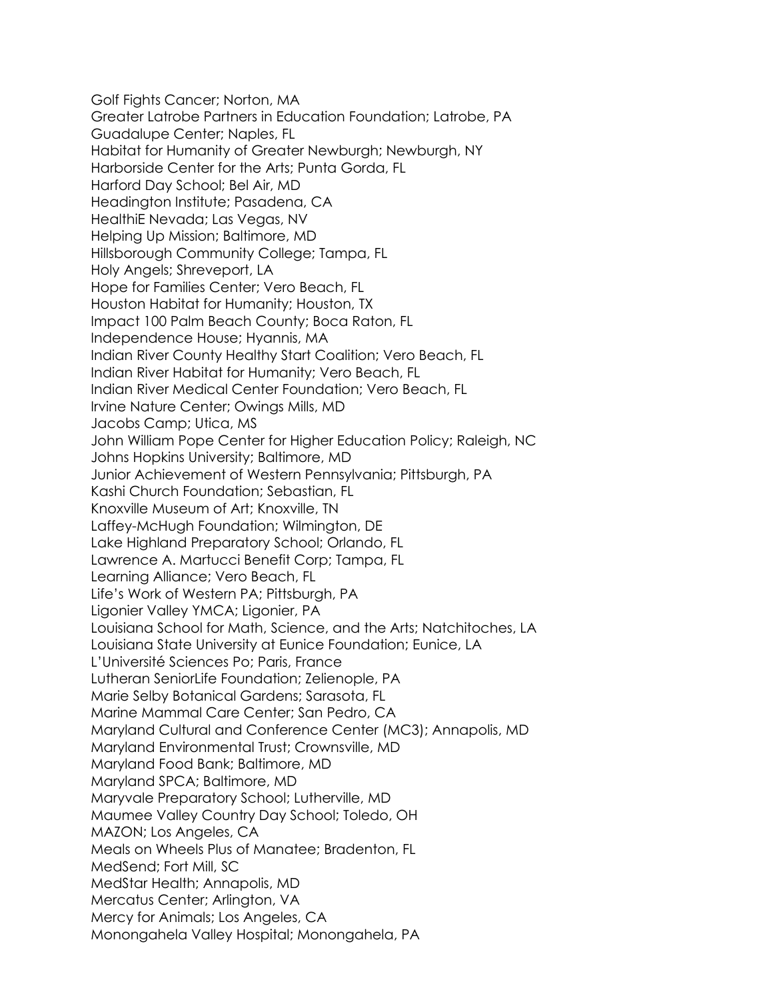Golf Fights Cancer; Norton, MA Greater Latrobe Partners in Education Foundation; Latrobe, PA Guadalupe Center; Naples, FL Habitat for Humanity of Greater Newburgh; Newburgh, NY Harborside Center for the Arts; Punta Gorda, FL Harford Day School; Bel Air, MD Headington Institute; Pasadena, CA HealthiE Nevada; Las Vegas, NV Helping Up Mission; Baltimore, MD Hillsborough Community College; Tampa, FL Holy Angels; Shreveport, LA Hope for Families Center; Vero Beach, FL Houston Habitat for Humanity; Houston, TX Impact 100 Palm Beach County; Boca Raton, FL Independence House; Hyannis, MA Indian River County Healthy Start Coalition; Vero Beach, FL Indian River Habitat for Humanity; Vero Beach, FL Indian River Medical Center Foundation; Vero Beach, FL Irvine Nature Center; Owings Mills, MD Jacobs Camp; Utica, MS John William Pope Center for Higher Education Policy; Raleigh, NC Johns Hopkins University; Baltimore, MD Junior Achievement of Western Pennsylvania; Pittsburgh, PA Kashi Church Foundation; Sebastian, FL Knoxville Museum of Art; Knoxville, TN Laffey-McHugh Foundation; Wilmington, DE Lake Highland Preparatory School; Orlando, FL Lawrence A. Martucci Benefit Corp; Tampa, FL Learning Alliance; Vero Beach, FL Life's Work of Western PA; Pittsburgh, PA Ligonier Valley YMCA; Ligonier, PA Louisiana School for Math, Science, and the Arts; Natchitoches, LA Louisiana State University at Eunice Foundation; Eunice, LA L'Université Sciences Po; Paris, France Lutheran SeniorLife Foundation; Zelienople, PA Marie Selby Botanical Gardens; Sarasota, FL Marine Mammal Care Center; San Pedro, CA Maryland Cultural and Conference Center (MC3); Annapolis, MD Maryland Environmental Trust; Crownsville, MD Maryland Food Bank; Baltimore, MD Maryland SPCA; Baltimore, MD Maryvale Preparatory School; Lutherville, MD Maumee Valley Country Day School; Toledo, OH MAZON; Los Angeles, CA Meals on Wheels Plus of Manatee; Bradenton, FL MedSend; Fort Mill, SC MedStar Health; Annapolis, MD Mercatus Center; Arlington, VA Mercy for Animals; Los Angeles, CA Monongahela Valley Hospital; Monongahela, PA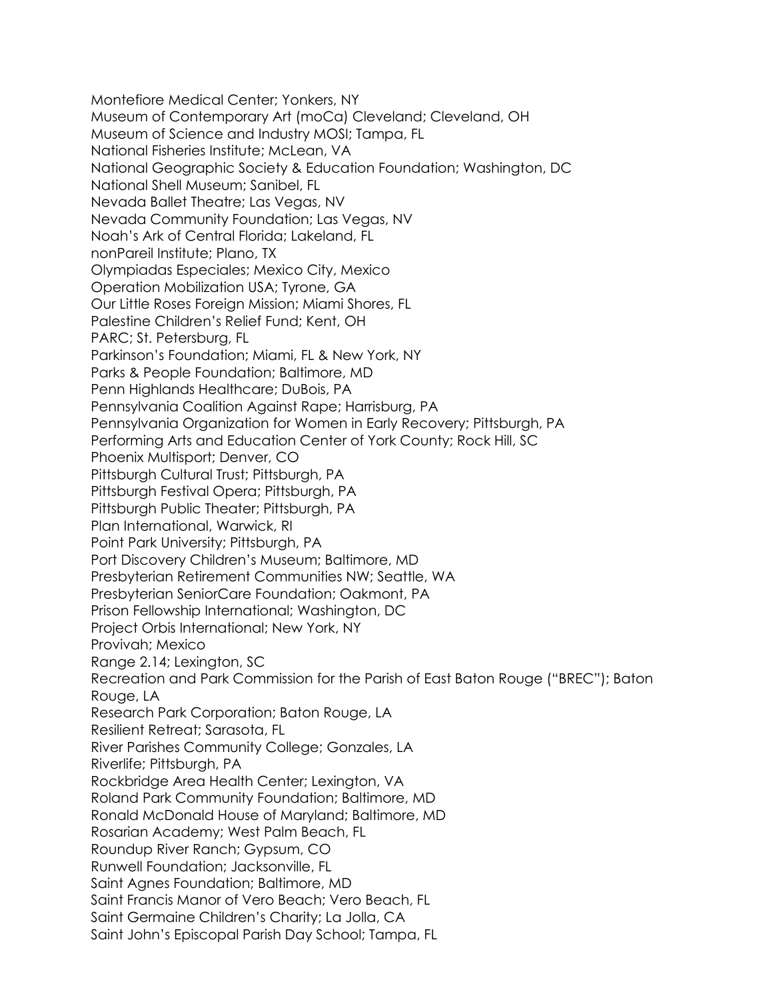Montefiore Medical Center; Yonkers, NY Museum of Contemporary Art (moCa) Cleveland; Cleveland, OH Museum of Science and Industry MOSI; Tampa, FL National Fisheries Institute; McLean, VA National Geographic Society & Education Foundation; Washington, DC National Shell Museum; Sanibel, FL Nevada Ballet Theatre; Las Vegas, NV Nevada Community Foundation; Las Vegas, NV Noah's Ark of Central Florida; Lakeland, FL nonPareil Institute; Plano, TX Olympiadas Especiales; Mexico City, Mexico Operation Mobilization USA; Tyrone, GA Our Little Roses Foreign Mission; Miami Shores, FL Palestine Children's Relief Fund; Kent, OH PARC; St. Petersburg, FL Parkinson's Foundation; Miami, FL & New York, NY Parks & People Foundation; Baltimore, MD Penn Highlands Healthcare; DuBois, PA Pennsylvania Coalition Against Rape; Harrisburg, PA Pennsylvania Organization for Women in Early Recovery; Pittsburgh, PA Performing Arts and Education Center of York County; Rock Hill, SC Phoenix Multisport; Denver, CO Pittsburgh Cultural Trust; Pittsburgh, PA Pittsburgh Festival Opera; Pittsburgh, PA Pittsburgh Public Theater; Pittsburgh, PA Plan International, Warwick, RI Point Park University; Pittsburgh, PA Port Discovery Children's Museum; Baltimore, MD Presbyterian Retirement Communities NW; Seattle, WA Presbyterian SeniorCare Foundation; Oakmont, PA Prison Fellowship International; Washington, DC Project Orbis International; New York, NY Provivah; Mexico Range 2.14; Lexington, SC Recreation and Park Commission for the Parish of East Baton Rouge ("BREC"); Baton Rouge, LA Research Park Corporation; Baton Rouge, LA Resilient Retreat; Sarasota, FL River Parishes Community College; Gonzales, LA Riverlife; Pittsburgh, PA Rockbridge Area Health Center; Lexington, VA Roland Park Community Foundation; Baltimore, MD Ronald McDonald House of Maryland; Baltimore, MD Rosarian Academy; West Palm Beach, FL Roundup River Ranch; Gypsum, CO Runwell Foundation; Jacksonville, FL Saint Agnes Foundation; Baltimore, MD Saint Francis Manor of Vero Beach; Vero Beach, FL Saint Germaine Children's Charity; La Jolla, CA Saint John's Episcopal Parish Day School; Tampa, FL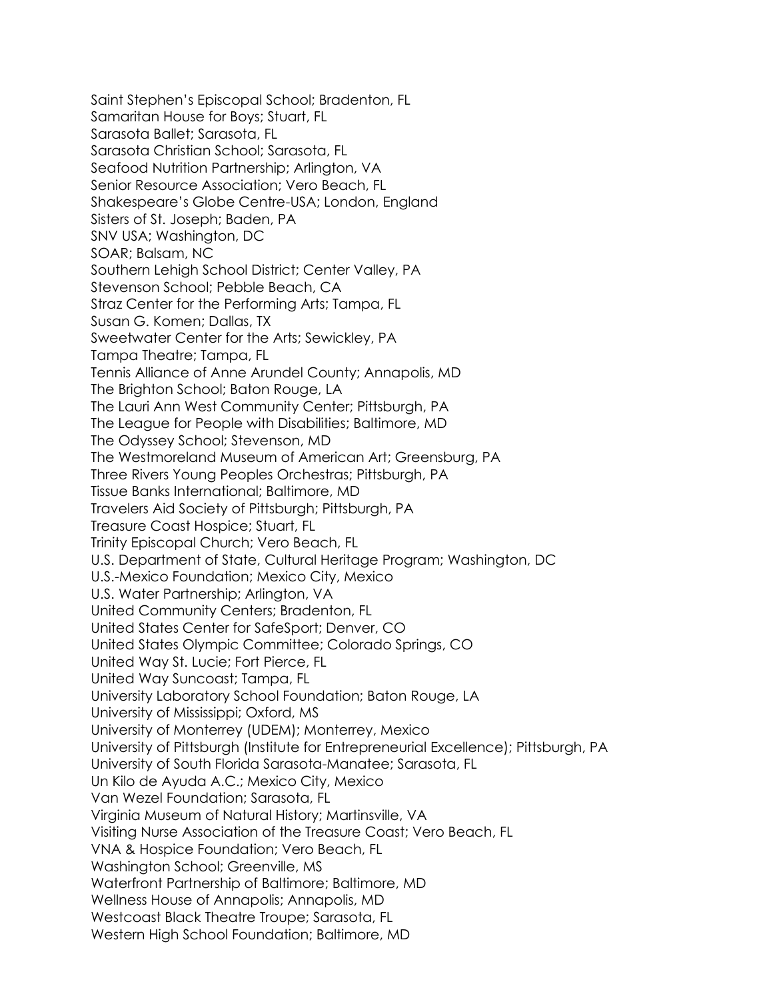Saint Stephen's Episcopal School; Bradenton, FL Samaritan House for Boys; Stuart, FL Sarasota Ballet; Sarasota, FL Sarasota Christian School; Sarasota, FL Seafood Nutrition Partnership; Arlington, VA Senior Resource Association; Vero Beach, FL Shakespeare's Globe Centre-USA; London, England Sisters of St. Joseph; Baden, PA SNV USA; Washington, DC SOAR; Balsam, NC Southern Lehigh School District; Center Valley, PA Stevenson School; Pebble Beach, CA Straz Center for the Performing Arts; Tampa, FL Susan G. Komen; Dallas, TX Sweetwater Center for the Arts; Sewickley, PA Tampa Theatre; Tampa, FL Tennis Alliance of Anne Arundel County; Annapolis, MD The Brighton School; Baton Rouge, LA The Lauri Ann West Community Center; Pittsburgh, PA The League for People with Disabilities; Baltimore, MD The Odyssey School; Stevenson, MD The Westmoreland Museum of American Art; Greensburg, PA Three Rivers Young Peoples Orchestras; Pittsburgh, PA Tissue Banks International; Baltimore, MD Travelers Aid Society of Pittsburgh; Pittsburgh, PA Treasure Coast Hospice; Stuart, FL Trinity Episcopal Church; Vero Beach, FL U.S. Department of State, Cultural Heritage Program; Washington, DC U.S.-Mexico Foundation; Mexico City, Mexico U.S. Water Partnership; Arlington, VA United Community Centers; Bradenton, FL United States Center for SafeSport; Denver, CO United States Olympic Committee; Colorado Springs, CO United Way St. Lucie; Fort Pierce, FL United Way Suncoast; Tampa, FL University Laboratory School Foundation; Baton Rouge, LA University of Mississippi; Oxford, MS University of Monterrey (UDEM); Monterrey, Mexico University of Pittsburgh (Institute for Entrepreneurial Excellence); Pittsburgh, PA University of South Florida Sarasota-Manatee; Sarasota, FL Un Kilo de Ayuda A.C.; Mexico City, Mexico Van Wezel Foundation; Sarasota, FL Virginia Museum of Natural History; Martinsville, VA Visiting Nurse Association of the Treasure Coast; Vero Beach, FL VNA & Hospice Foundation; Vero Beach, FL Washington School; Greenville, MS Waterfront Partnership of Baltimore; Baltimore, MD Wellness House of Annapolis; Annapolis, MD Westcoast Black Theatre Troupe; Sarasota, FL Western High School Foundation; Baltimore, MD